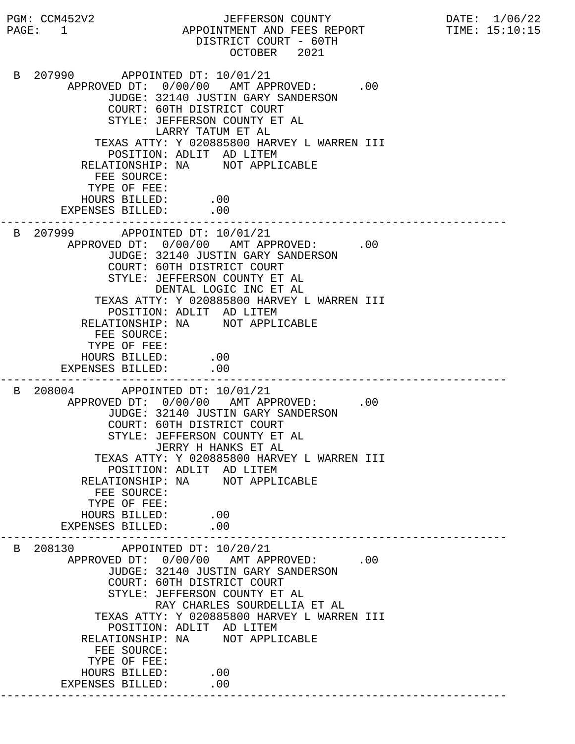PGM: CCM452V2 JEFFERSON COUNTY DATE: 1/06/22 PAGE: 1 APPOINTMENT AND FEES REPORT TIME: 15:10:15 DISTRICT COURT - 60TH OCTOBER 2021 B 207990 APPOINTED DT: 10/01/21 APPROVED DT:  $0/00/00$  AMT APPROVED: .00 JUDGE: 32140 JUSTIN GARY SANDERSON COURT: 60TH DISTRICT COURT STYLE: JEFFERSON COUNTY ET AL LARRY TATUM ET AL TEXAS ATTY: Y 020885800 HARVEY L WARREN III POSITION: ADLIT AD LITEM RELATIONSHIP: NA NOT APPLICABLE FEE SOURCE: TYPE OF FEE: HOURS BILLED: .00 EXPENSES BILLED: .00 --------------------------------------------------------------------------- B 207999 APPOINTED DT: 10/01/21 APPROVED DT:  $0/00/00$  AMT APPROVED: .00 JUDGE: 32140 JUSTIN GARY SANDERSON COURT: 60TH DISTRICT COURT STYLE: JEFFERSON COUNTY ET AL DENTAL LOGIC INC ET AL TEXAS ATTY: Y 020885800 HARVEY L WARREN III POSITION: ADLIT AD LITEM RELATIONSHIP: NA NOT APPLICABLE FEE SOURCE: TYPE OF FEE: HOURS BILLED: .00 EXPENSES BILLED: .00 --------------------------------------------------------------------------- B 208004 APPOINTED DT: 10/01/21 APPROVED DT:  $0/00/00$  AMT APPROVED: .00 JUDGE: 32140 JUSTIN GARY SANDERSON COURT: 60TH DISTRICT COURT STYLE: JEFFERSON COUNTY ET AL JERRY H HANKS ET AL TEXAS ATTY: Y 020885800 HARVEY L WARREN III POSITION: ADLIT AD LITEM RELATIONSHIP: NA NOT APPLICABLE FEE SOURCE: TYPE OF FEE: HOURS BILLED: .00 EXPENSES BILLED: .00 --------------------------------------------------------------------------- B 208130 APPOINTED DT: 10/20/21 APPROVED DT:  $0/00/00$  AMT APPROVED: .00 JUDGE: 32140 JUSTIN GARY SANDERSON COURT: 60TH DISTRICT COURT STYLE: JEFFERSON COUNTY ET AL RAY CHARLES SOURDELLIA ET AL TEXAS ATTY: Y 020885800 HARVEY L WARREN III POSITION: ADLIT AD LITEM RELATIONSHIP: NA NOT APPLICABLE FEE SOURCE: TYPE OF FEE: HOURS BILLED: .00 EXPENSES BILLED: .00 ---------------------------------------------------------------------------